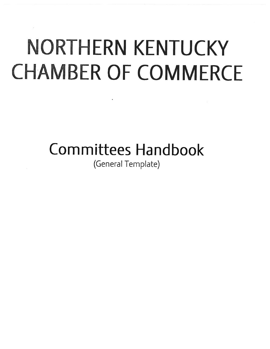# NORTHERN KENTUCKY **CHAMBER OF COMMERCE**

Committees Handbook

(General Template)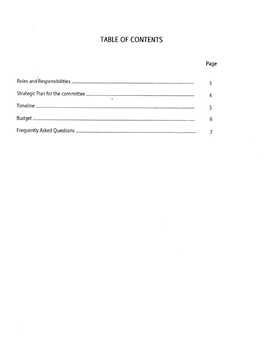# TABLE OF CONTENTS

 $\sim$  78

| Page |
|------|
|      |
|      |
|      |
| 6    |
|      |

 $\frac{1+\zeta}{1+\zeta}$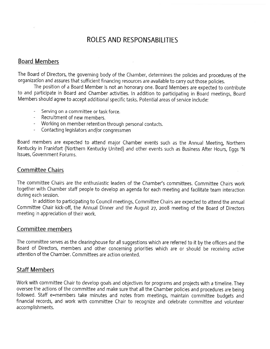# ROLES AND RESPONSABILITIES

# Board Members

The Board of Directors, the governing body of the Chamber, determines the policies and procedures of the organization and assures that sufficient financing resources are available to carry out those policies.

The position of <sup>a</sup> Board Member is not an honorary one. Board Members are expected to contribute to and participate in Board and Chamber activities. In addition to participating in Board meetings, Board Members should agree to accep<sup>t</sup> additional specific tasks. Potential areas of service include:

- Serving on <sup>a</sup> committee or task force.
- Recruitment of new members.
- Working on member retention through persona<sup>l</sup> contacts.
- Contacting legislators and/or congressmen

Board members are expected to attend major Chamber events such as the Annual Meeting, Northern Kentucky in Frankfort (Northern Kentucky United) and other events such as Business After Hours, Eggs 'N Issues, Government Forums.

## Committee Chairs

The committee Chairs are the enthusiastic leaders of the Chamber's committees. Committee Chairs work together with Chamber staff people to develop an agenda for each meeting and facilitate team interaction during each session.

In addition to participating to Council meetings, Committee Chairs are expected to attend the annual Committee Chair kick-off, the Annual Dinner and the August 27, <sup>2008</sup> meeting of the Board of Directors meeting in appreciation of their work.

## Committee members

The committee serves as the clearinghouse for all suggestions which are referred to it by the officers and the Board of Directors, members and other concerning priorities which are or should be receiving active attention of the Chamber. Committees are action oriented.

## Staff Members

Work with committee Chair to develop goals and objectives for programs and projects with <sup>a</sup> timeline. They oversee the actions of the committee and make sure that all the Chamber policies and procedures are being followed. Staff e=members take minutes and notes from meetings, maintain committee budgets and financial records, and work with committee Chair to recognize and celebrate committee and volunteer accomplishments.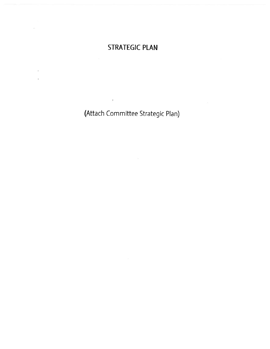# STRATEGIC PLAN

(Attach Committee Strategic Plan)

 $\ddot{\phantom{0}}$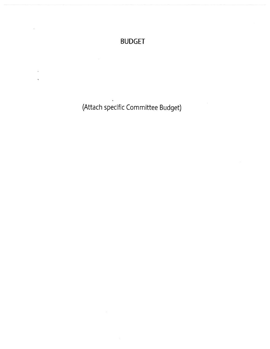# BUDGET

(Attach specific Committee Budget)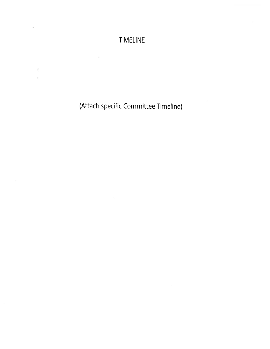# TIMELINE

(Attach specific Committee Timeline)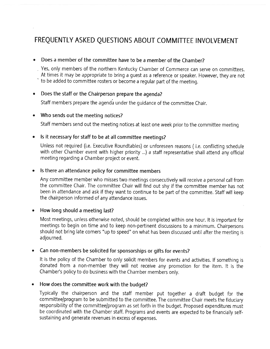# FREQUENTLY ASKED QUESTIONS ABOUT COMMITTEE INVOLVEMENT

### Does <sup>a</sup> member of the committee have to be <sup>a</sup> member of the Chamber?

Yes, only members of the northern Kentucky Chamber of Commerce can serve on committees. At times it may be appropriate to bring <sup>a</sup> gues<sup>t</sup> as <sup>a</sup> reference or speaker. However, they are not

to be added to committee rosters or become <sup>a</sup> regular par<sup>t</sup> of the meeting.

# • Does the staff or the Chairperson prepare the agenda?

Staff members prepare the agenda under the guidance of the committee Chair.

#### •Who sends out the meeting notices?

Staff members send out the meeting notices at least one week prior to the committee meeting

#### •Is it necessary for staff to be at all committee meetings?

Unless not required (i.e. Executive Roundtables) or unforeseen reasons (i.e. conflicting schedule with other Chamber event with higher priority ...) <sup>a</sup> staff representative shall attend any official meeting regarding <sup>a</sup> Chamber project or event.

### Is there an attendance policy for committee members

Any committee member who misses two meetings consecutively will receive <sup>a</sup> persona<sup>l</sup> call from the committee Chair. The committee Chair will find out shy if the committee member has not been in attendance and ask if they want to continue to be par<sup>t</sup> of the committee. Staff will keep the chairperson informed of any attendance issues.

#### •How long should <sup>a</sup> meeting last?

Most meetings, unless otherwise noted, should be completed within one hour. It is important for meetings to begin on time and to keep non-pertinent discussions to <sup>a</sup> minimum. Chairpersons should not bring late comers "up to speed" on what has been discussed until after the meeting is adjourned.

#### •Can non-members be solicited for sponsorships or <sup>g</sup>ifts for events?

It is the policy of the Chamber to only solicit members for events and activities. If something is donated from <sup>a</sup> non-member they will not receive any promotion for the item. It is the Chamber's policy to do business with the Chamber members only.

#### $\bullet$ How does the committee work with the budget?

Typically the chairperson and the staff member pu<sup>t</sup> together <sup>a</sup> draft budget for the committee/program to be submitted to the committee. The committee Chair meets the fiduciary responsibility of the committee/program as set forth in the budget. Proposed expenditures must be coordinated with the Chamber staff. Programs and events are expected to be financially self sustaining and generate revenues in excess of expenses.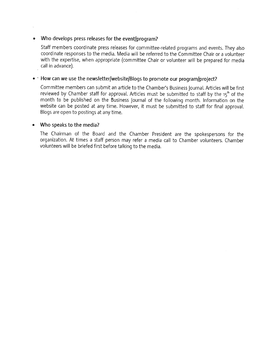### • Who develops press releases for the event/program?

Staff members coordinate press releases for committee-related programs and events. They also coordinate responses to the media. Media will be referred to the Committee Chair or <sup>a</sup> volunteer with the expertise, when appropriate (committee Chair or volunteer will be prepare<sup>d</sup> for media call in advance).

### $\bullet$   $\cdot$  How can we use the newsletter/website/Blogs to promote our program/project?

Committee members can submit an article to the Chamber's Business Journal. Articles will be first reviewed by Chamber staff for approval. Articles must be submitted to staff by the 15<sup>th</sup> of the month to be published on the Business Journal of the following month. Information on the website can be posted at any time. However, it must be submitted to staff for final approval. Blogs are open to postings at any time.

#### •Who speaks to the media?

The Chairman of the Board and the Chamber President are the spokespersons for the organization. At times <sup>a</sup> staff person may refer <sup>a</sup> media call to Chamber volunteers. Chamber volunteers will be briefed first before talking to the media.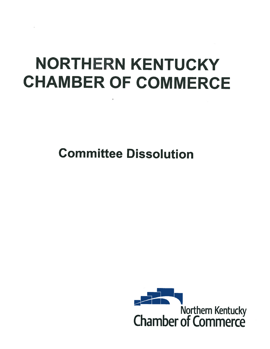# **NORTHERN KENTUCKY** CHAMBER OF COMMERCE

Committee Dissolution

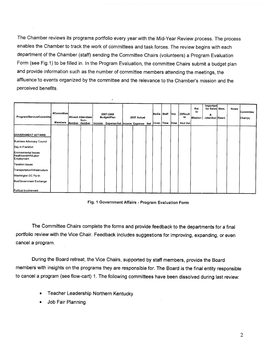The Chamber reviews its programs portfolio every year with the Mid-Year Review process. The process enables the Chamber to track the work of committees and task forces. The review begins with each department of the Chamber (staff) sending the Committee Chairs (volunteers) <sup>a</sup> Program Evaluation Form (see Fig.1) to be filled in. In the Program Evaluation, the committee Chairs submit <sup>a</sup> budget <sup>p</sup>lan and provide information such as the number of committee members attending the meetings, the affluence to events organized by the committee and the relevance to the Chamber's mission and the perceived benefits.

| Program/Service/Committe                                  | #Committee<br><b>Members</b> | Member Wember | #Event Attendees<br>Non- | 2007-2008<br>Budget/Plan |  | 2007 Actual<br>Income Expense Net Income Expense Net Cover. Time | Media Staff | Vol.<br>Time | Difficult<br>to<br>find Vol. | Rel.<br>to<br>Mission | Important<br>for Sales Mem.<br>&<br>retention React. | Notes | Committee<br>Chair(s) |
|-----------------------------------------------------------|------------------------------|---------------|--------------------------|--------------------------|--|------------------------------------------------------------------|-------------|--------------|------------------------------|-----------------------|------------------------------------------------------|-------|-----------------------|
| <b>GOVERNMENT AFFAIRS</b>                                 |                              |               |                          |                          |  |                                                                  |             |              |                              |                       |                                                      |       |                       |
| Business Advocacy Council                                 |                              |               |                          |                          |  |                                                                  |             |              |                              |                       |                                                      |       |                       |
| Day in Frankfort                                          |                              |               |                          |                          |  |                                                                  |             |              |                              |                       |                                                      |       |                       |
| Environmental Issues<br>Healthcare/HR/Labor<br>Employment |                              |               |                          |                          |  |                                                                  |             |              |                              |                       |                                                      |       |                       |
| Taxation Issues                                           |                              |               |                          |                          |  |                                                                  |             |              |                              |                       |                                                      |       |                       |
| Transportation/Infrastructure                             |                              |               |                          |                          |  |                                                                  |             |              |                              |                       |                                                      |       |                       |
| Washington DC Fly-In                                      |                              |               |                          |                          |  |                                                                  |             |              |                              |                       |                                                      |       |                       |
| Bus/Government Exchange                                   |                              |               |                          |                          |  |                                                                  |             |              |                              |                       |                                                      |       |                       |
| Political Involvement                                     |                              |               |                          |                          |  |                                                                  |             |              |                              |                       |                                                      |       |                       |

### Fig. <sup>I</sup> Government Affairs - Program Evaluation Form

The Committee Chairs complete the forms and provide feedback to the departments for <sup>a</sup> final portfolio review with the Vice Chair. Feedback includes suggestions for improving, expanding, or even cancel <sup>a</sup> program.

During the Board retreat, the Vice Chairs, supported by staff members, provide the Board members with insights on the programs they are responsible for. The Board is the final entity responsible to cancel <sup>a</sup> program (see flow-cart) 1. The following committees have been dissolved during last review:

- Teacher Leadership Northern Kentucky
- •Job Fair Planning